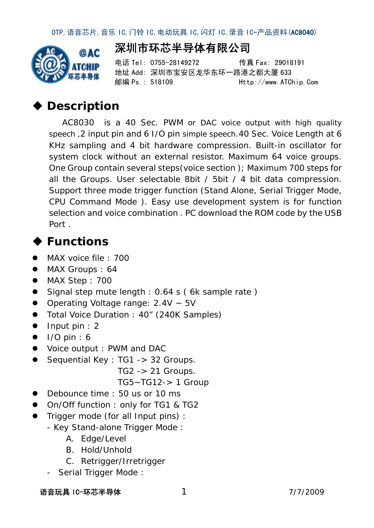

电话 Tel: 0755-28149272 传真 Fax: 29018191 地址 Add: 深圳市宝安区龙华东环一路港之都大厦 633 邮编 Ps.: 518109 Http://www.ATChip.Com

## **Description**

AC8030 is a 40 Sec. PWM or DAC voice output with high quality speech ,2 input pin and 6 I/O pin simple speech.40 Sec. Voice Length at 6 KHz sampling and 4 bit hardware compression. Built-in oscillator for system clock without an external resistor. Maximum 64 voice groups. One Group contain several steps(voice section ); Maximum 700 steps for all the Groups. User selectable 8bit / 5bit / 4 bit data compression. Support three mode trigger function (Stand Alone, Serial Trigger Mode, CPU Command Mode ). Easy use development system is for function selection and voice combination . PC download the ROM code by the USB Port .

# **Functions**

- **MAX voice file : 700**
- MAX Groups : 64
- MAX Step : 700
- Signal step mute length : 0.64 s ( 6k sample rate )
- Operating Voltage range:  $2.4V \sim 5V$
- Total Voice Duration : 40" (240K Samples)
- $\bullet$  Input pin : 2
- $\bullet$  I/O pin : 6
- Voice output : PWM and DAC
- Sequential Key : TG1 -> 32 Groups.
	- TG2 -> 21 Groups.
	- TG5~TG12-> 1 Group
- Debounce time : 50 us or 10 ms
- On/Off function : only for TG1 & TG2
- Trigger mode (for all Input pins) :
	- Key Stand-alone Trigger Mode :
		- A. Edge/Level
		- B. Hold/Unhold
		- C. Retrigger/Irretrigger
	- Serial Trigger Mode :

语音玩具 IC-环芯半导体 17/7/2009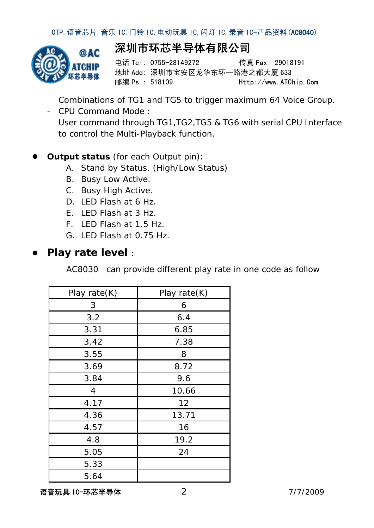

电话 Tel: 0755-28149272 传真 Fax: 29018191 地址 Add: 深圳市宝安区龙华东环一路港之都大厦 633 邮编 Ps.: 518109 Http://www.ATChip.Com

Combinations of TG1 and TG5 to trigger maximum 64 Voice Group.

- CPU Command Mode : User command through TG1,TG2,TG5 & TG6 with serial CPU Interface to control the Multi-Playback function.

#### **Output status** (for each Output pin):

- A. Stand by Status. (High/Low Status)
- B. Busy Low Active.
- C. Busy High Active.
- D. LED Flash at 6 Hz.
- E. LED Flash at 3 Hz.
- F. LED Flash at 1.5 Hz.
- G. LED Flash at 0.75 Hz.

#### **Play rate level** :

AC8030 can provide different play rate in one code as follow

| Play rate(K) | Play rate(K) |
|--------------|--------------|
| 3            | 6            |
| 3.2          | 6.4          |
| 3.31         | 6.85         |
| 3.42         | 7.38         |
| 3.55         | 8            |
| 3.69         | 8.72         |
| 3.84         | 9.6          |
| 4            | 10.66        |
| 4.17         | 12           |
| 4.36         | 13.71        |
| 4.57         | 16           |
| 4.8          | 19.2         |
| 5.05         | 24           |
| 5.33         |              |
| 5.64         |              |

语音玩具 IC-环芯半导体 27/7/2009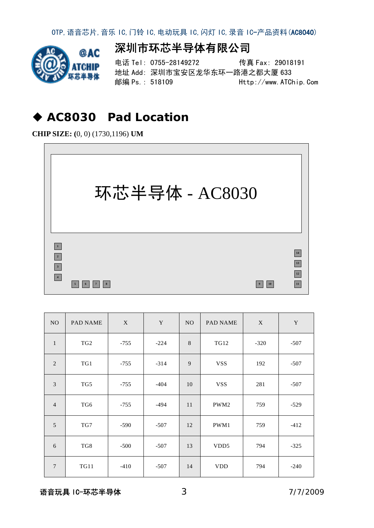

## 深圳市环芯半导体有限公司

电话 Tel: 0755-28149272 传真 Fax: 29018191 地址 Add: 深圳市宝安区龙华东环一路港之都大厦 633 邮编 Ps.: 518109 Http://www.ATChip.Com

#### **AC8030 Pad Location**

**CHIP SIZE: (**0, 0) (1730,1196) **UM**



| NO             | <b>PAD NAME</b> | $\mathbf X$ | $\mathbf Y$<br>NO. |    | PAD NAME         | X      | $\mathbf Y$ |
|----------------|-----------------|-------------|--------------------|----|------------------|--------|-------------|
| $\mathbf{1}$   | TG <sub>2</sub> | $-755$      | $-224$             | 8  | <b>TG12</b>      | $-320$ | $-507$      |
| 2              | TG1             | $-755$      | $-314$             | 9  | <b>VSS</b>       | 192    | $-507$      |
| $\overline{3}$ | TG5             | $-755$      | $-404$             | 10 | <b>VSS</b>       | 281    | $-507$      |
| $\overline{4}$ | TG6             | $-755$      | $-494$             | 11 | PWM2             | 759    | $-529$      |
| 5              | TG7             | $-590$      | $-507$             | 12 | PWM1             | 759    | $-412$      |
| 6              | TG8             | $-500$      | $-507$             | 13 | VDD <sub>5</sub> | 794    | $-325$      |
| $\overline{7}$ | <b>TG11</b>     | $-410$      | $-507$             | 14 | <b>VDD</b>       | 794    | $-240$      |

语音玩具 IC-环芯半导体 37/7/2009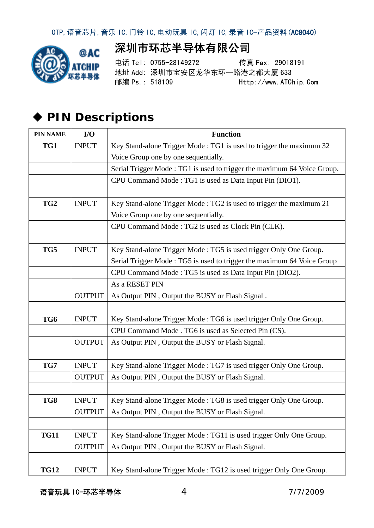

电话 Tel: 0755-28149272 传真 Fax: 29018191 地址 Add: 深圳市宝安区龙华东环一路港之都大厦 633 邮编 Ps.: 518109 Http://www.ATChip.Com

# **PIN Descriptions**

| <b>PIN NAME</b> | I/O           | <b>Function</b>                                                         |
|-----------------|---------------|-------------------------------------------------------------------------|
| TG1             | <b>INPUT</b>  | Key Stand-alone Trigger Mode: TG1 is used to trigger the maximum 32     |
|                 |               | Voice Group one by one sequentially.                                    |
|                 |               | Serial Trigger Mode: TG1 is used to trigger the maximum 64 Voice Group. |
|                 |               | CPU Command Mode: TG1 is used as Data Input Pin (DIO1).                 |
|                 |               |                                                                         |
| TG <sub>2</sub> | <b>INPUT</b>  | Key Stand-alone Trigger Mode: TG2 is used to trigger the maximum 21     |
|                 |               | Voice Group one by one sequentially.                                    |
|                 |               | CPU Command Mode: TG2 is used as Clock Pin (CLK).                       |
|                 |               |                                                                         |
| TG5             | <b>INPUT</b>  | Key Stand-alone Trigger Mode: TG5 is used trigger Only One Group.       |
|                 |               | Serial Trigger Mode: TG5 is used to trigger the maximum 64 Voice Group  |
|                 |               | CPU Command Mode: TG5 is used as Data Input Pin (DIO2).                 |
|                 |               | As a RESET PIN                                                          |
|                 | <b>OUTPUT</b> | As Output PIN, Output the BUSY or Flash Signal.                         |
|                 |               |                                                                         |
| TG6             | <b>INPUT</b>  | Key Stand-alone Trigger Mode: TG6 is used trigger Only One Group.       |
|                 |               | CPU Command Mode . TG6 is used as Selected Pin (CS).                    |
|                 | <b>OUTPUT</b> | As Output PIN, Output the BUSY or Flash Signal.                         |
|                 |               |                                                                         |
| TG7             | <b>INPUT</b>  | Key Stand-alone Trigger Mode: TG7 is used trigger Only One Group.       |
|                 | <b>OUTPUT</b> | As Output PIN, Output the BUSY or Flash Signal.                         |
|                 |               |                                                                         |
| TG8             | <b>INPUT</b>  | Key Stand-alone Trigger Mode: TG8 is used trigger Only One Group.       |
|                 | <b>OUTPUT</b> | As Output PIN, Output the BUSY or Flash Signal.                         |
|                 |               |                                                                         |
| <b>TG11</b>     | <b>INPUT</b>  | Key Stand-alone Trigger Mode: TG11 is used trigger Only One Group.      |
|                 | <b>OUTPUT</b> | As Output PIN, Output the BUSY or Flash Signal.                         |
|                 |               |                                                                         |
| <b>TG12</b>     | <b>INPUT</b>  | Key Stand-alone Trigger Mode: TG12 is used trigger Only One Group.      |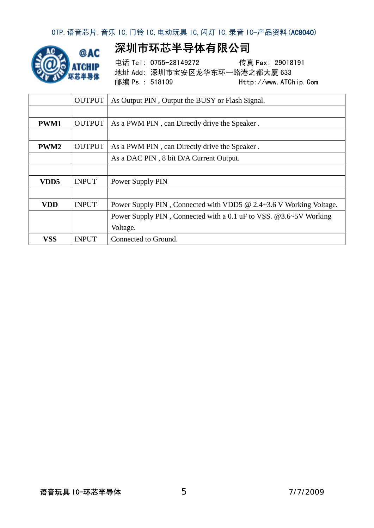

电话 Tel: 0755-28149272 传真 Fax: 29018191 地址 Add: 深圳市宝安区龙华东环一路港之都大厦 633 邮编 Ps.: 518109 Http://www.ATChip.Com

|             | <b>OUTPUT</b> | As Output PIN, Output the BUSY or Flash Signal.                    |
|-------------|---------------|--------------------------------------------------------------------|
|             |               |                                                                    |
| <b>PWM1</b> | <b>OUTPUT</b> | As a PWM PIN, can Directly drive the Speaker.                      |
|             |               |                                                                    |
| PWM2        | <b>OUTPUT</b> | As a PWM PIN, can Directly drive the Speaker.                      |
|             |               | As a DAC PIN, 8 bit D/A Current Output.                            |
|             |               |                                                                    |
| VDD5        | <b>INPUT</b>  | Power Supply PIN                                                   |
|             |               |                                                                    |
| VDD         | <b>INPUT</b>  | Power Supply PIN, Connected with VDD5 @ 2.4~3.6 V Working Voltage. |
|             |               | Power Supply PIN, Connected with a 0.1 uF to VSS. @3.6~5V Working  |
|             |               | Voltage.                                                           |
| <b>VSS</b>  | <b>INPUT</b>  | Connected to Ground.                                               |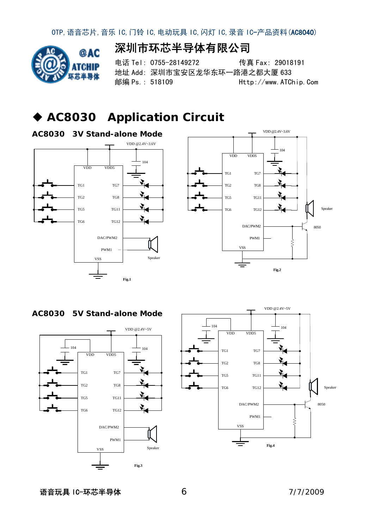

电话 Tel: 0755-28149272 传真 Fax: 29018191 地址 Add: 深圳市宝安区龙华东环一路港之都大厦 633 邮编 Ps.: 518109 Http://www.ATChip.Com

### **AC8030 Application Circuit**











语音玩具 IC-环芯半导体 67/7/2009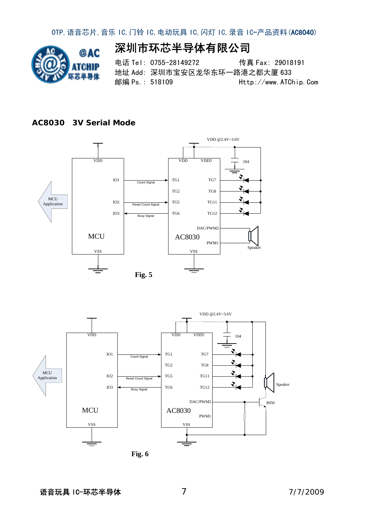

电话 Tel: 0755-28149272 传真 Fax: 29018191 地址 Add: 深圳市宝安区龙华东环一路港之都大厦 633 邮编 Ps.: 518109 Http://www.ATChip.Com

#### **AC8030 3V Serial Mode**





**Fig. 6**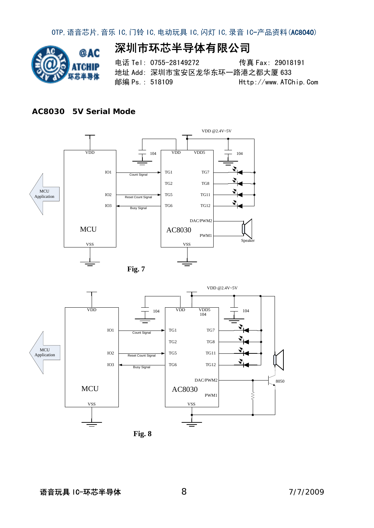

电话 Tel: 0755-28149272 传真 Fax: 29018191 地址 Add: 深圳市宝安区龙华东环一路港之都大厦 633 邮编 Ps.: 518109 Http://www.ATChip.Com

#### **AC8030 5V Serial Mode**

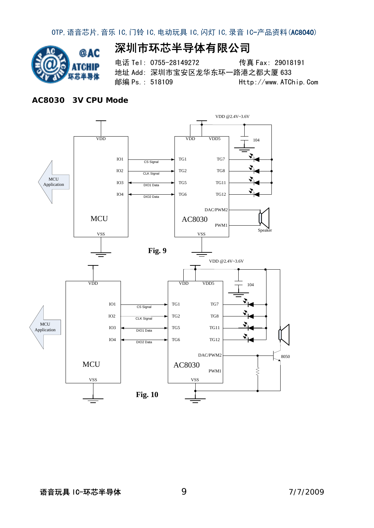

电话 Tel: 0755-28149272 传真 Fax: 29018191 地址 Add: 深圳市宝安区龙华东环一路港之都大厦 633 邮编 Ps.: 518109 Http://www.ATChip.Com

#### **AC8030 3V CPU Mode**

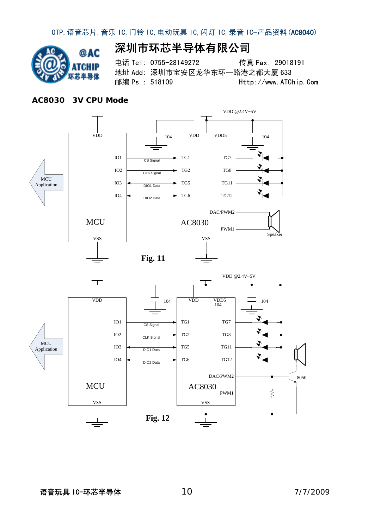

电话 Tel: 0755-28149272 传真 Fax: 29018191 地址 Add: 深圳市宝安区龙华东环一路港之都大厦 633 邮编 Ps.: 518109 Http://www.ATChip.Com

#### **AC8030 3V CPU Mode**



语音玩具 IC-环芯半导体 107/7/2009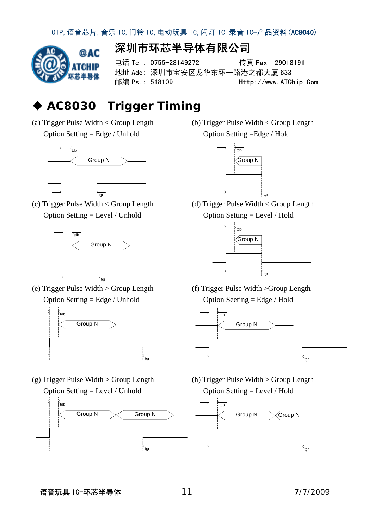

电话 Tel: 0755-28149272 传真 Fax: 29018191 地址 Add: 深圳市宝安区龙华东环一路港之都大厦 633 邮编 Ps.: 518109 Http://www.ATChip.Com

## **AC8030 Trigger Timing**

(a) Trigger Pulse Width < Group Length Option Setting = Edge / Unhold



(c) Trigger Pulse Width < Group Length Option Setting = Level / Unhold



(e) Trigger Pulse Width > Group Length Option Setting = Edge / Unhold



(g) Trigger Pulse Width > Group Length Option Setting = Level / Unhold



(b) Trigger Pulse Width < Group Length Option Setting =Edge / Hold



(d) Trigger Pulse Width < Group Length Option Setting = Level / Hold



(f) Trigger Pulse Width >Group Length Option Seeting = Edge / Hold



(h) Trigger Pulse Width > Group Length Option Setting = Level / Hold

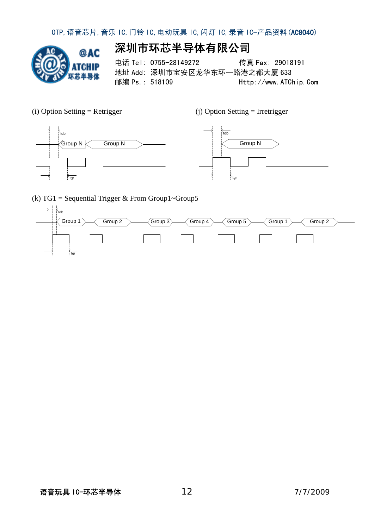

电话 Tel: 0755-28149272 传真 Fax: 29018191 地址 Add: 深圳市宝安区龙华东环一路港之都大厦 633 邮编 Ps.: 518109 Http://www.ATChip.Com

(i) Option Setting = Retrigger (j) Option Setting = Irretrigger



(k) TG1 = Sequential Trigger & From Group1~Group5

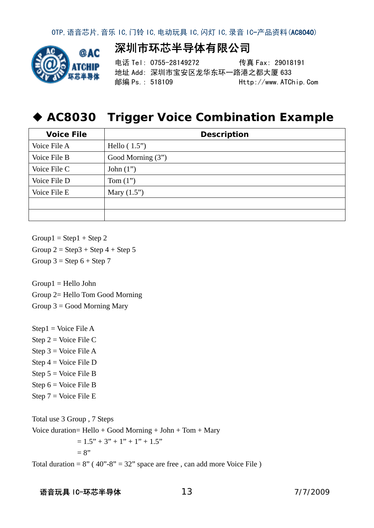

电话 Tel: 0755-28149272 传真 Fax: 29018191 地址 Add: 深圳市宝安区龙华东环一路港之都大厦 633 邮编 Ps.: 518109 Http://www.ATChip.Com

#### **AC8030 Trigger Voice Combination Example**

| <b>Voice File</b> | <b>Description</b> |
|-------------------|--------------------|
| Voice File A      | Hello $(1.5")$     |
| Voice File B      | Good Morning (3")  |
| Voice File C      | John $(1")$        |
| Voice File D      | Tom $(1")$         |
| Voice File E      | Mary $(1.5")$      |
|                   |                    |
|                   |                    |

 $Group1 = Step1 + Step2$ Group  $2 =$  Step 3 + Step 4 + Step 5 Group  $3 =$  Step  $6 +$  Step  $7$ 

 $Group1 = Hello John$ Group 2= Hello Tom Good Morning Group  $3 =$  Good Morning Mary

 $Step 1 = Voice File A$ Step  $2 = \text{Voice File C}$ Step  $3 = \text{Voice File A}$ Step  $4 = \text{Voice File } D$ Step 5 = Voice File B Step  $6 = \text{Voice File } B$ Step  $7 = \text{Voice File}$  E

Total use 3 Group , 7 Steps Voice duration=  $\text{Hello} + \text{Good Morning} + \text{John} + \text{Tom} + \text{Mary}$  $= 1.5" + 3" + 1" + 1" + 1.5"$  $= 8"$ Total duration =  $8''$  (40"- $8''$  = 32" space are free, can add more Voice File)

#### 语音玩具 IC-环芯半导体 137/7/2009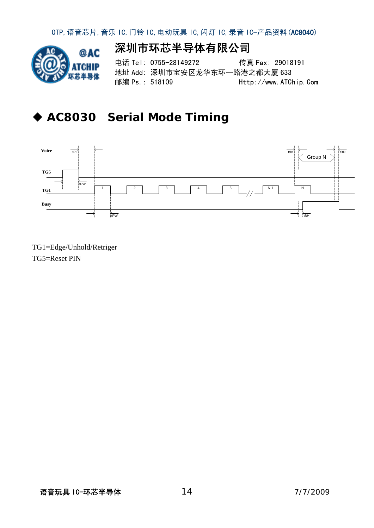

电话 Tel: 0755-28149272 传真 Fax: 29018191 地址 Add: 深圳市宝安区龙华东环一路港之都大厦 633 邮编 Ps.: 518109 Http://www.ATChip.Com

## **AC8030 Serial Mode Timing**



TG1=Edge/Unhold/Retriger TG5=Reset PIN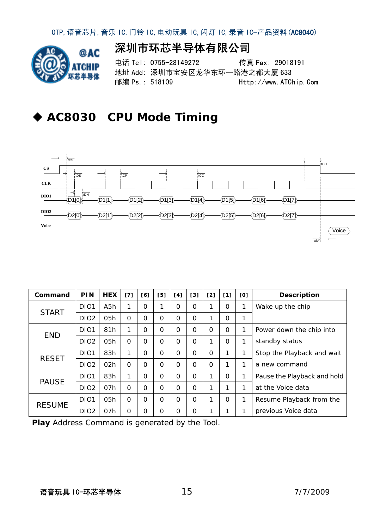

## 深圳市环芯半导体有限公司

电话 Tel: 0755-28149272 传真 Fax: 29018191 地址 Add: 深圳市宝安区龙华东环一路港之都大厦 633 邮编 Ps.: 518109 Http://www.ATChip.Com

### **AC8030 CPU Mode Timing**



| Command       | <b>PIN</b>        | <b>HEX</b>       | [7]      | [6]      | [5]      | [4]      | [3] | [2]      | [1]      | [0] | <b>Description</b>          |
|---------------|-------------------|------------------|----------|----------|----------|----------|-----|----------|----------|-----|-----------------------------|
| <b>START</b>  | DI <sub>01</sub>  | A <sub>5</sub> h | 1        | $\Omega$ |          | O        | Ω   |          | $\Omega$ | 1   | Wake up the chip            |
|               | DI <sub>O</sub> 2 | 05h              | $\Omega$ | $\Omega$ | $\Omega$ | $\Omega$ | O   |          | $\Omega$ | 1   |                             |
| <b>END</b>    | DI <sub>01</sub>  | 81h              | 1        | $\Omega$ | $\Omega$ | $\Omega$ | Ω   | $\Omega$ | $\Omega$ | 1   | Power down the chip into    |
|               | DI <sub>O</sub> 2 | 05h              | $\Omega$ | $\Omega$ | $\Omega$ | $\Omega$ | O   |          | $\Omega$ | 1   | standby status              |
|               | DI <sub>01</sub>  | 83h              | 1        | 0        | $\Omega$ | $\Omega$ | 0   | $\Omega$ | 1        | 1   | Stop the Playback and wait  |
| <b>RESET</b>  | DI <sub>O2</sub>  | 02h              | $\Omega$ | $\Omega$ | $\Omega$ | $\Omega$ | Ω   | $\Omega$ | 1        | 1   | a new command               |
| <b>PAUSE</b>  | DI <sub>01</sub>  | 83h              | 1        | $\Omega$ | $\Omega$ | $\Omega$ | O   |          | $\Omega$ | 1   | Pause the Playback and hold |
|               | DI <sub>O</sub> 2 | 07h              | $\Omega$ | $\Omega$ | $\Omega$ | $\Omega$ | Ω   |          | 1        | 1   | at the Voice data           |
|               | DI <sub>01</sub>  | 05 <sub>h</sub>  | $\Omega$ | $\Omega$ | $\Omega$ | $\Omega$ | Ω   |          | $\Omega$ | 1   | Resume Playback from the    |
| <b>RESUME</b> | DIO <sub>2</sub>  | 07h              | O        | 0        | O        | 0        | Ω   |          | 1        | ◀   | previous Voice data         |

**Play** Address Command is generated by the Tool.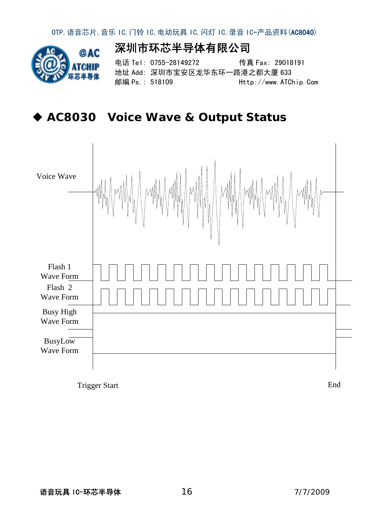

深圳市环芯半导体有限公司

电话 Tel: 0755-28149272 传真 Fax: 29018191 地址 Add: 深圳市宝安区龙华东环一路港之都大厦 633 邮编 Ps.: 518109 Http://www.ATChip.Com

**AC8030 Voice Wave & Output Status** 



Trigger Start End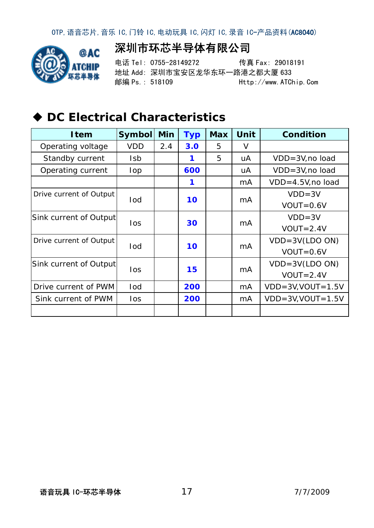

电话 Tel: 0755-28149272 传真 Fax: 29018191 地址 Add: 深圳市宝安区龙华东环一路港之都大厦 633 邮编 Ps.: 518109 Http://www.ATChip.Com

# **DC Electrical Characteristics**

| <b>I</b> tem            | Symbol     | <b>Min</b> | <b>Typ</b> | <b>Max</b> | Unit           | <b>Condition</b>           |
|-------------------------|------------|------------|------------|------------|----------------|----------------------------|
| Operating voltage       | <b>VDD</b> | 2.4        | 3.0        | 5          | V              |                            |
| Standby current         | <b>Isb</b> |            | 1          | 5          | uA             | VDD=3V, no load            |
| Operating current       | lop        |            | 600        |            | uA             | VDD=3V, no load            |
|                         |            |            |            |            | mA             | VDD=4.5V, no load          |
| Drive current of Output |            |            |            |            |                | $VDD = 3V$                 |
|                         | lod        |            | 10         |            | mA             | $VOUT=0.6V$                |
| Sink current of Output  | los        |            | 30         |            | m <sub>A</sub> | $VDD = 3V$                 |
|                         |            |            |            |            |                | $VOUT=2.4V$                |
| Drive current of Output | lod        |            | 10         |            | m <sub>A</sub> | $VDD = 3V (LDO ON)$        |
|                         |            |            |            |            |                | $VOUT=0.6V$                |
| Sink current of Output  | los        |            | 15         |            |                | $VDD = 3V (LDO ON)$        |
|                         |            |            |            |            | m <sub>A</sub> | $VOUT=2.4V$                |
| Drive current of PWM    | lod        |            | 200        |            | mA             | $VDD = 3V$ , $VOUT = 1.5V$ |
| Sink current of PWM     | los        |            | 200        |            | mA             | $VDD = 3V$ , $VOUT = 1.5V$ |
|                         |            |            |            |            |                |                            |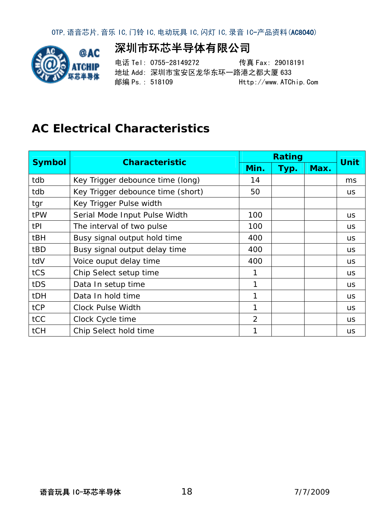

深圳市环芯半导体有限公司

电话 Tel: 0755-28149272 传真 Fax: 29018191 地址 Add: 深圳市宝安区龙华东环一路港之都大厦 633 邮编 Ps.: 518109 Http://www.ATChip.Com

## **AC Electrical Characteristics**

| <b>Symbol</b> | <b>Characteristic</b>             |                | <b>Rating</b> |      |             |
|---------------|-----------------------------------|----------------|---------------|------|-------------|
|               |                                   | Min.           | Typ.          | Max. | <b>Unit</b> |
| tdb           | Key Trigger debounce time (long)  | 14             |               |      | ms          |
| tdb           | Key Trigger debounce time (short) | 50             |               |      | <b>US</b>   |
| tgr           | Key Trigger Pulse width           |                |               |      |             |
| tPW           | Serial Mode Input Pulse Width     | 100            |               |      | <b>US</b>   |
| tPI           | The interval of two pulse         | 100            |               |      | <b>US</b>   |
| tBH           | Busy signal output hold time      | 400            |               |      | <b>us</b>   |
| tBD           | Busy signal output delay time     | 400            |               |      | <b>us</b>   |
| tdV           | Voice ouput delay time            | 400            |               |      | <b>US</b>   |
| tCS           | Chip Select setup time            | 1              |               |      | <b>US</b>   |
| tDS           | Data In setup time                | 1              |               |      | <b>US</b>   |
| <b>tDH</b>    | Data In hold time                 | 1              |               |      | <b>us</b>   |
| tCP           | <b>Clock Pulse Width</b>          | 1              |               |      | <b>us</b>   |
| tCC           | Clock Cycle time                  | $\overline{2}$ |               |      | <b>us</b>   |
| tCH           | Chip Select hold time             | 1              |               |      | <b>US</b>   |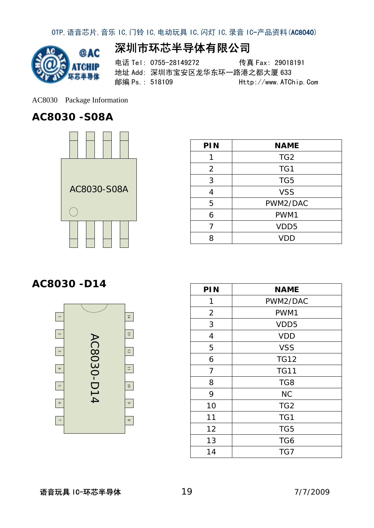

### 深圳市环芯半导体有限公司

电话 Tel: 0755-28149272 传真 Fax: 29018191 地址 Add: 深圳市宝安区龙华东环一路港之都大厦 633 邮编 Ps.: 518109 Http://www.ATChip.Com

AC8030 Package Information

#### **AC8030 -S08A**



| PIN | <b>NAME</b>      |
|-----|------------------|
|     | TG <sub>2</sub>  |
| 2   | TG1              |
| 3   | TG <sub>5</sub>  |
|     | <b>VSS</b>       |
| 5   | PWM2/DAC         |
| 6   | PWM1             |
| 7   | VDD <sub>5</sub> |
| 8   | <b>VDD</b>       |

#### AC8030 -D14



| PIN            | <b>NAME</b>      |
|----------------|------------------|
| 1              | PWM2/DAC         |
| $\overline{2}$ | PWM1             |
| 3              | VDD <sub>5</sub> |
| $\overline{4}$ | <b>VDD</b>       |
| 5              | <b>VSS</b>       |
| 6              | <b>TG12</b>      |
| 7              | <b>TG11</b>      |
| 8              | TG8              |
| 9              | <b>NC</b>        |
| 10             | TG <sub>2</sub>  |
| 11             | TG1              |
| 12             | TG <sub>5</sub>  |
| 13             | TG6              |
| 14             | TG7              |